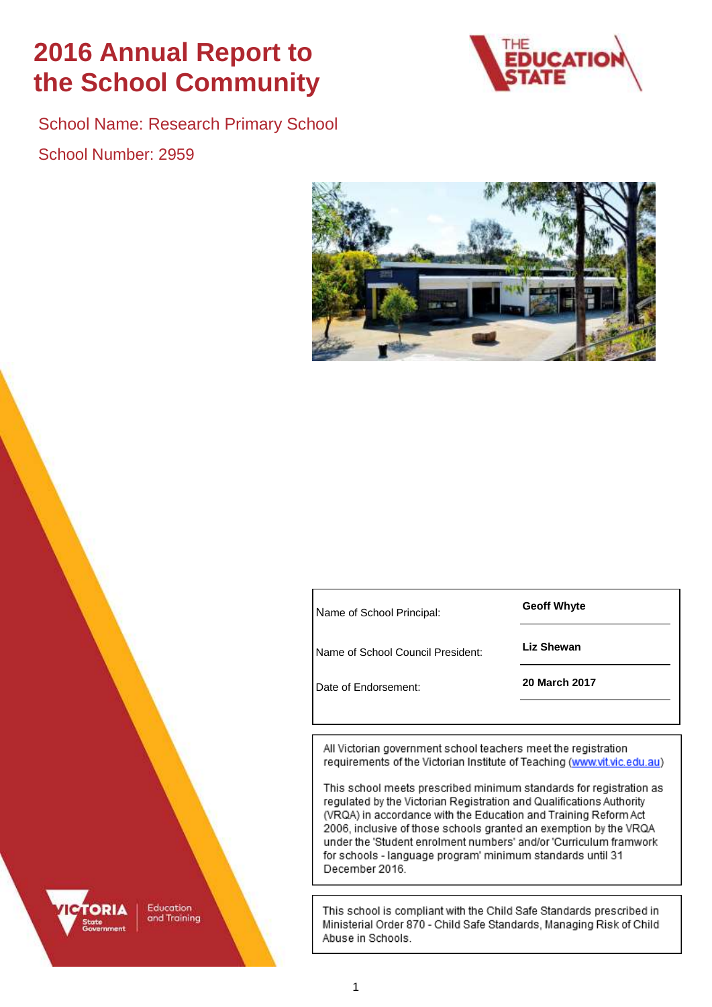# **2016 Annual Report to the School Community**



School Name: Research Primary School School Number: 2959



**Geoff Whyte** <sup>N</sup>ame of School Principal:

**Liz Shewan** Name of School Council President:

**20 March 2017** Date of Endorsement:

All Victorian government school teachers meet the registration requirements of the Victorian Institute of Teaching (www.vit.vic.edu.au)

This school meets prescribed minimum standards for registration as regulated by the Victorian Registration and Qualifications Authority (VRQA) in accordance with the Education and Training Reform Act 2006, inclusive of those schools granted an exemption by the VRQA under the 'Student enrolment numbers' and/or 'Curriculum framwork for schools - language program' minimum standards until 31 December 2016.

This school is compliant with the Child Safe Standards prescribed in Ministerial Order 870 - Child Safe Standards, Managing Risk of Child Abuse in Schools.

Education and Training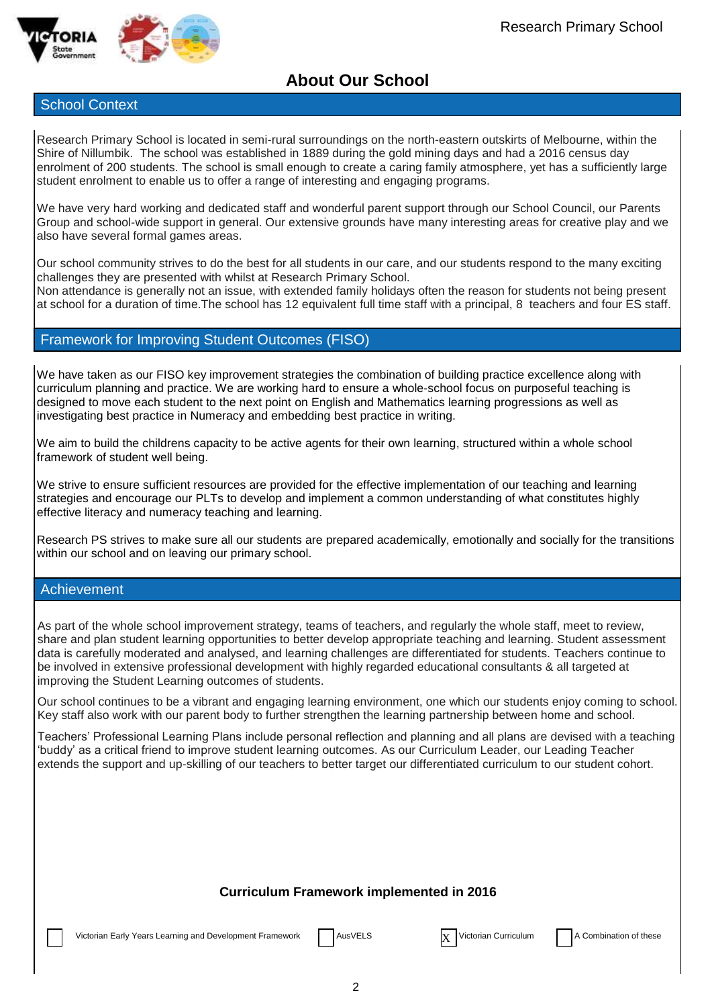

### **About Our School**

### School Context

Research Primary School is located in semi-rural surroundings on the north-eastern outskirts of Melbourne, within the Shire of Nillumbik. The school was established in 1889 during the gold mining days and had a 2016 census day enrolment of 200 students. The school is small enough to create a caring family atmosphere, yet has a sufficiently large student enrolment to enable us to offer a range of interesting and engaging programs.

We have very hard working and dedicated staff and wonderful parent support through our School Council, our Parents Group and school-wide support in general. Our extensive grounds have many interesting areas for creative play and we also have several formal games areas.

Our school community strives to do the best for all students in our care, and our students respond to the many exciting challenges they are presented with whilst at Research Primary School.

Non attendance is generally not an issue, with extended family holidays often the reason for students not being present at school for a duration of time.The school has 12 equivalent full time staff with a principal, 8 teachers and four ES staff.

### Framework for Improving Student Outcomes (FISO)

We have taken as our FISO key improvement strategies the combination of building practice excellence along with curriculum planning and practice. We are working hard to ensure a whole-school focus on purposeful teaching is designed to move each student to the next point on English and Mathematics learning progressions as well as investigating best practice in Numeracy and embedding best practice in writing.

We aim to build the childrens capacity to be active agents for their own learning, structured within a whole school framework of student well being.

We strive to ensure sufficient resources are provided for the effective implementation of our teaching and learning strategies and encourage our PLTs to develop and implement a common understanding of what constitutes highly effective literacy and numeracy teaching and learning.

Research PS strives to make sure all our students are prepared academically, emotionally and socially for the transitions within our school and on leaving our primary school.

### Achievement

As part of the whole school improvement strategy, teams of teachers, and regularly the whole staff, meet to review, share and plan student learning opportunities to better develop appropriate teaching and learning. Student assessment data is carefully moderated and analysed, and learning challenges are differentiated for students. Teachers continue to be involved in extensive professional development with highly regarded educational consultants & all targeted at improving the Student Learning outcomes of students.

Our school continues to be a vibrant and engaging learning environment, one which our students enjoy coming to school. Key staff also work with our parent body to further strengthen the learning partnership between home and school.

Teachers' Professional Learning Plans include personal reflection and planning and all plans are devised with a teaching 'buddy' as a critical friend to improve student learning outcomes. As our Curriculum Leader, our Leading Teacher extends the support and up-skilling of our teachers to better target our differentiated curriculum to our student cohort.

### **Curriculum Framework implemented in 2016**

Victorian Early Years Learning and Development Framework | AusVELS X Victorian Curriculum | A Combination of these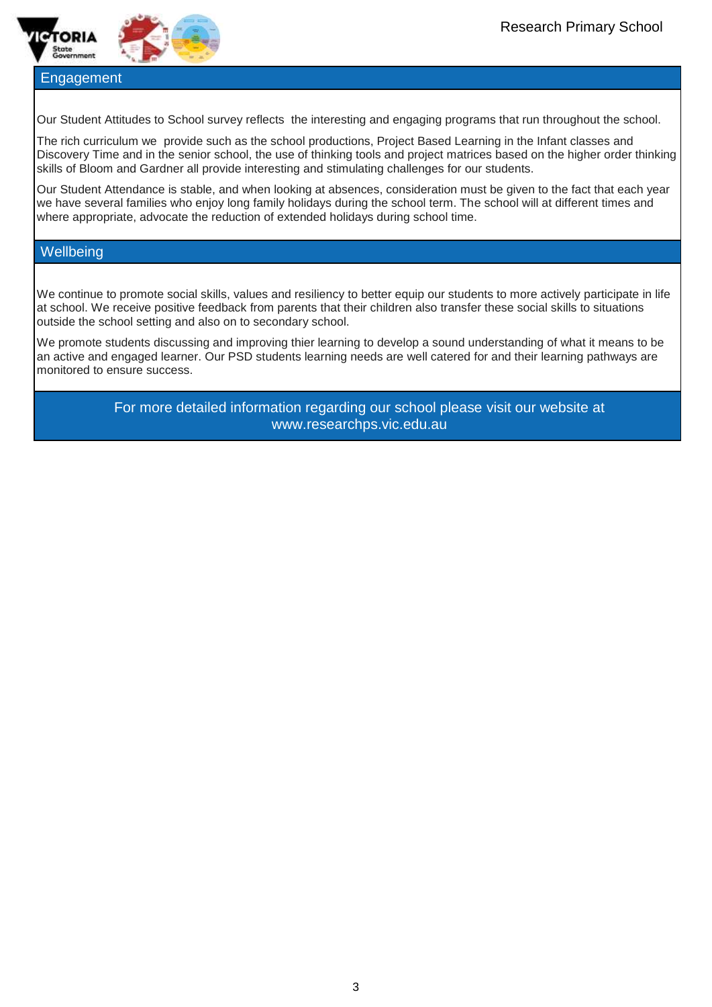



### **Engagement**

Our Student Attitudes to School survey reflects the interesting and engaging programs that run throughout the school.

The rich curriculum we provide such as the school productions, Project Based Learning in the Infant classes and Discovery Time and in the senior school, the use of thinking tools and project matrices based on the higher order thinking skills of Bloom and Gardner all provide interesting and stimulating challenges for our students.

Our Student Attendance is stable, and when looking at absences, consideration must be given to the fact that each year we have several families who enjoy long family holidays during the school term. The school will at different times and where appropriate, advocate the reduction of extended holidays during school time.

### **Wellbeing**

We continue to promote social skills, values and resiliency to better equip our students to more actively participate in life at school. We receive positive feedback from parents that their children also transfer these social skills to situations outside the school setting and also on to secondary school.

We promote students discussing and improving thier learning to develop a sound understanding of what it means to be an active and engaged learner. Our PSD students learning needs are well catered for and their learning pathways are monitored to ensure success.

> For more detailed information regarding our school please visit our website at www.researchps.vic.edu.au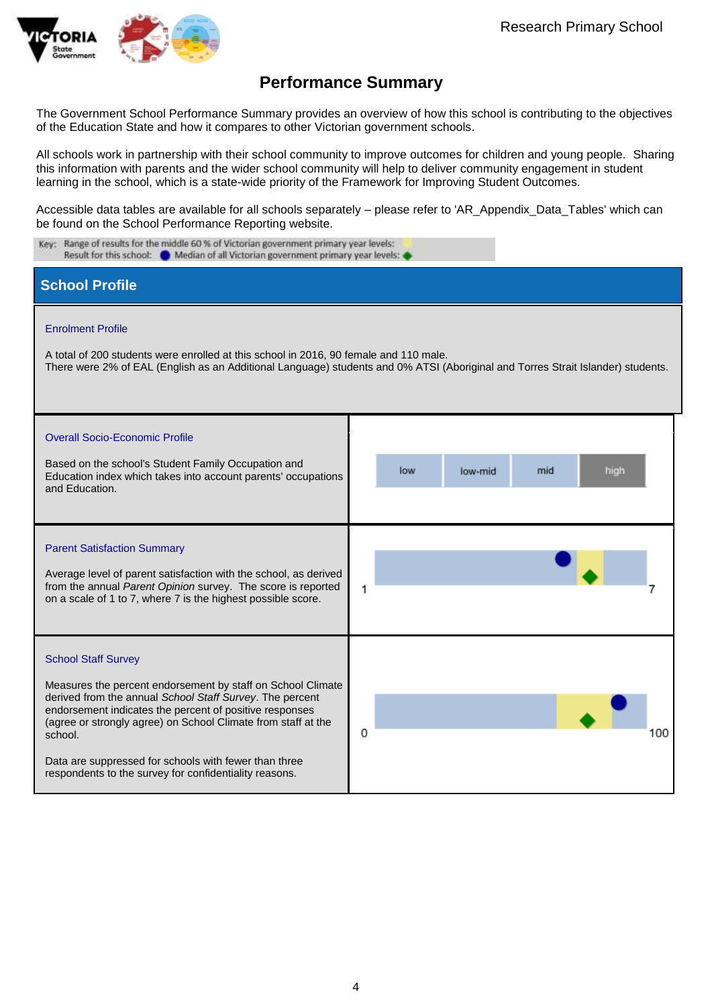

The Government School Performance Summary provides an overview of how this school is contributing to the objectives of the Education State and how it compares to other Victorian government schools.

All schools work in partnership with their school community to improve outcomes for children and young people. Sharing this information with parents and the wider school community will help to deliver community engagement in student learning in the school, which is a state-wide priority of the Framework for Improving Student Outcomes.

Accessible data tables are available for all schools separately – please refer to 'AR\_Appendix\_Data\_Tables' which can be found on the School Performance Reporting website.

| Key: Range of results for the middle 60 % of Victorian government primary year levels:<br>Result for this school: @ Median of all Victorian government primary year levels:                                                                                                                                                                                                                                     |                                                                                                                                 |  |  |  |  |
|-----------------------------------------------------------------------------------------------------------------------------------------------------------------------------------------------------------------------------------------------------------------------------------------------------------------------------------------------------------------------------------------------------------------|---------------------------------------------------------------------------------------------------------------------------------|--|--|--|--|
| <b>School Profile</b>                                                                                                                                                                                                                                                                                                                                                                                           |                                                                                                                                 |  |  |  |  |
| <b>Enrolment Profile</b><br>A total of 200 students were enrolled at this school in 2016, 90 female and 110 male.                                                                                                                                                                                                                                                                                               | There were 2% of EAL (English as an Additional Language) students and 0% ATSI (Aboriginal and Torres Strait Islander) students. |  |  |  |  |
| <b>Overall Socio-Economic Profile</b><br>Based on the school's Student Family Occupation and<br>Education index which takes into account parents' occupations<br>and Education.                                                                                                                                                                                                                                 | low<br>mid<br>high<br>low-mid                                                                                                   |  |  |  |  |
| <b>Parent Satisfaction Summary</b><br>Average level of parent satisfaction with the school, as derived<br>from the annual Parent Opinion survey. The score is reported<br>on a scale of 1 to 7, where 7 is the highest possible score.                                                                                                                                                                          | 1                                                                                                                               |  |  |  |  |
| <b>School Staff Survey</b><br>Measures the percent endorsement by staff on School Climate<br>derived from the annual School Staff Survey. The percent<br>endorsement indicates the percent of positive responses<br>(agree or strongly agree) on School Climate from staff at the<br>school.<br>Data are suppressed for schools with fewer than three<br>respondents to the survey for confidentiality reasons. | 0<br>100                                                                                                                        |  |  |  |  |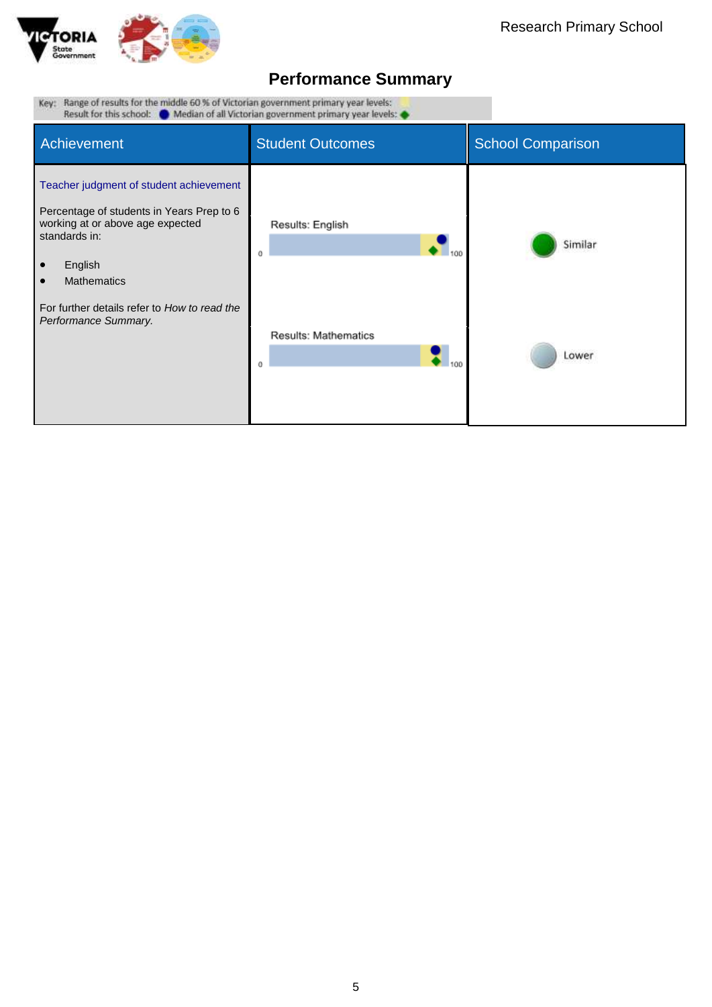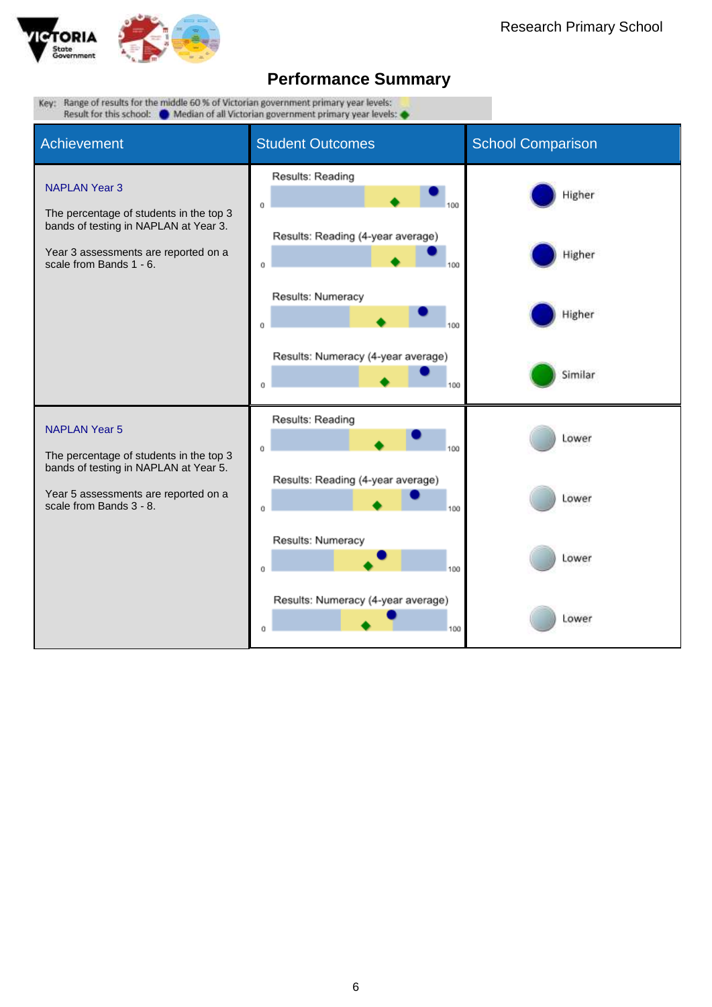

| Key: Range of results for the middle 60 % of Victorian government primary year levels:<br>Result for this school: Median of all Victorian government primary year levels: |                                                |                          |  |  |  |  |  |
|---------------------------------------------------------------------------------------------------------------------------------------------------------------------------|------------------------------------------------|--------------------------|--|--|--|--|--|
| Achievement                                                                                                                                                               | <b>Student Outcomes</b>                        | <b>School Comparison</b> |  |  |  |  |  |
| <b>NAPLAN Year 3</b><br>The percentage of students in the top 3                                                                                                           | Results: Reading<br>O                          | Higher                   |  |  |  |  |  |
| bands of testing in NAPLAN at Year 3.<br>Year 3 assessments are reported on a<br>scale from Bands 1 - 6.                                                                  | Results: Reading (4-year average)<br>0         | Higher                   |  |  |  |  |  |
|                                                                                                                                                                           | Results: Numeracy<br>0                         | Higher                   |  |  |  |  |  |
|                                                                                                                                                                           | Results: Numeracy (4-year average)<br>0<br>100 | Similar                  |  |  |  |  |  |
| <b>NAPLAN Year 5</b><br>The percentage of students in the top 3                                                                                                           | Results: Reading<br>0                          | Lower                    |  |  |  |  |  |
| bands of testing in NAPLAN at Year 5.<br>Year 5 assessments are reported on a<br>scale from Bands 3 - 8.                                                                  | Results: Reading (4-year average)<br>0         | Lower                    |  |  |  |  |  |
|                                                                                                                                                                           | Results: Numeracy<br>0                         | Lower                    |  |  |  |  |  |
|                                                                                                                                                                           | Results: Numeracy (4-year average)<br>Ű<br>100 | Lower                    |  |  |  |  |  |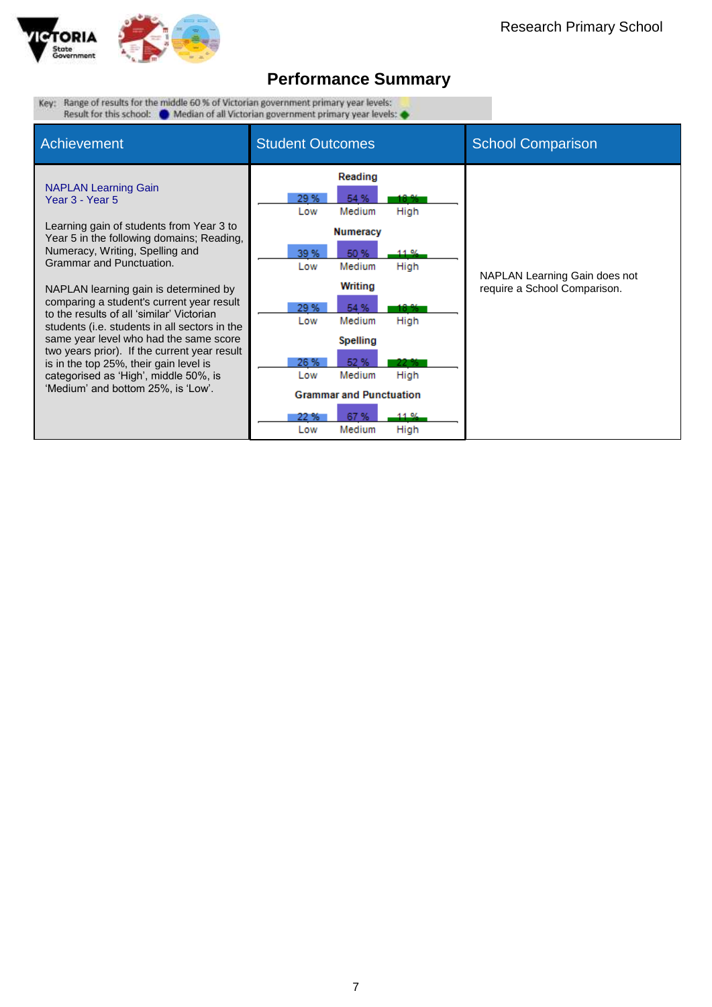

Key: Range of results for the middle 60 % of Victorian government primary year levels: Result for this school:  $\bullet$  Median of all Victorian government primary year levels:  $\bullet$ 

| Achievement                                                                                                                                                                                                                                                                                                                                                                                                                                                                                                                                                                                                   | <b>Student Outcomes</b>                                                                                                                                                                                                                                                                                                                    | <b>School Comparison</b>                                      |
|---------------------------------------------------------------------------------------------------------------------------------------------------------------------------------------------------------------------------------------------------------------------------------------------------------------------------------------------------------------------------------------------------------------------------------------------------------------------------------------------------------------------------------------------------------------------------------------------------------------|--------------------------------------------------------------------------------------------------------------------------------------------------------------------------------------------------------------------------------------------------------------------------------------------------------------------------------------------|---------------------------------------------------------------|
| <b>NAPLAN Learning Gain</b><br>Year 3 - Year 5<br>Learning gain of students from Year 3 to<br>Year 5 in the following domains; Reading,<br>Numeracy, Writing, Spelling and<br>Grammar and Punctuation.<br>NAPLAN learning gain is determined by<br>comparing a student's current year result<br>to the results of all 'similar' Victorian<br>students (i.e. students in all sectors in the<br>same year level who had the same score<br>two years prior). If the current year result<br>is in the top 25%, their gain level is<br>categorised as 'High', middle 50%, is<br>'Medium' and bottom 25%, is 'Low'. | Reading<br>29 %<br>54 %<br>18.85<br>High<br>Medium<br>Low<br><b>Numeracy</b><br>39 %<br>50 %<br>11.96<br>High<br>Low<br>Medium<br>Writing<br>29 %<br>54 %<br>18.95<br>Medium<br>High<br>Low<br><b>Spelling</b><br>26 %<br>52 %<br>Medium<br>High<br>Low<br><b>Grammar and Punctuation</b><br>67%<br>11.96<br>22 %<br>Medium<br>High<br>Low | NAPLAN Learning Gain does not<br>require a School Comparison. |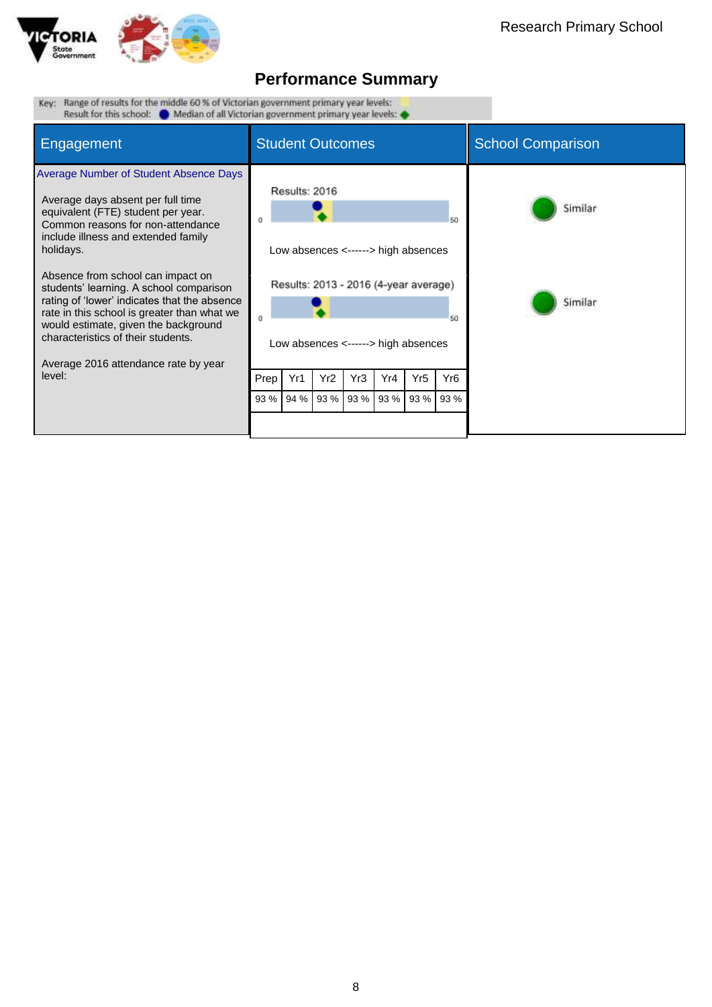

| Key: "Kange of results for the middle 60 % of Victorian government primary year levels:"<br>Result for this school: $\bullet$ Median of all Victorian government primary year levels:                                                                                                                                                                                                                                                                                                                                     |                         |                              |                         |             |                          |                                                                                                                                    |                                     |                    |
|---------------------------------------------------------------------------------------------------------------------------------------------------------------------------------------------------------------------------------------------------------------------------------------------------------------------------------------------------------------------------------------------------------------------------------------------------------------------------------------------------------------------------|-------------------------|------------------------------|-------------------------|-------------|--------------------------|------------------------------------------------------------------------------------------------------------------------------------|-------------------------------------|--------------------|
| Engagement                                                                                                                                                                                                                                                                                                                                                                                                                                                                                                                | <b>Student Outcomes</b> |                              |                         |             | <b>School Comparison</b> |                                                                                                                                    |                                     |                    |
| Average Number of Student Absence Days<br>Average days absent per full time<br>equivalent (FTE) student per year.<br>Common reasons for non-attendance<br>include illness and extended family<br>holidays.<br>Absence from school can impact on<br>students' learning. A school comparison<br>rating of 'lower' indicates that the absence<br>rate in this school is greater than what we<br>would estimate, given the background<br>characteristics of their students.<br>Average 2016 attendance rate by year<br>level: | Prep<br>93 %            | Results: 2016<br>Yr1<br>94 % | Yr <sub>2</sub><br>93 % | Yr3<br>93 % | Yr4<br>93 %              | Low absences <------> high absences<br>Results: 2013 - 2016 (4-year average)<br>Low absences <------> high absences<br>Yr5<br>93 % | 50<br>50<br>Yr <sub>6</sub><br>93 % | Similar<br>Similar |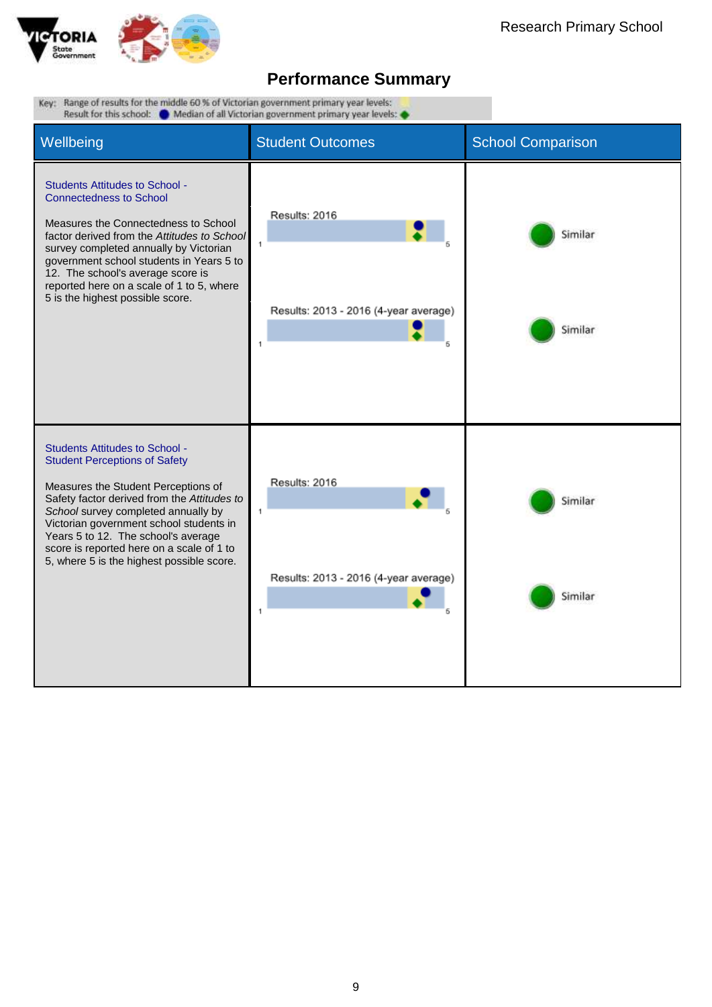

| Key: Range of results for the middle 60 % of Victorian government primary year levels:<br>Result for this school: Median of all Victorian government primary year levels:                                                                                                                                                                                                              |                                                                                |                          |  |  |  |  |  |
|----------------------------------------------------------------------------------------------------------------------------------------------------------------------------------------------------------------------------------------------------------------------------------------------------------------------------------------------------------------------------------------|--------------------------------------------------------------------------------|--------------------------|--|--|--|--|--|
| Wellbeing                                                                                                                                                                                                                                                                                                                                                                              | <b>Student Outcomes</b>                                                        | <b>School Comparison</b> |  |  |  |  |  |
| <b>Students Attitudes to School -</b><br><b>Connectedness to School</b><br>Measures the Connectedness to School<br>factor derived from the Attitudes to School<br>survey completed annually by Victorian<br>government school students in Years 5 to<br>12. The school's average score is<br>reported here on a scale of 1 to 5, where<br>5 is the highest possible score.             | Results: 2016<br>$\ddot{\phantom{a}}$<br>Results: 2013 - 2016 (4-year average) | Similar<br>Similar       |  |  |  |  |  |
| <b>Students Attitudes to School -</b><br><b>Student Perceptions of Safety</b><br>Measures the Student Perceptions of<br>Safety factor derived from the Attitudes to<br>School survey completed annually by<br>Victorian government school students in<br>Years 5 to 12. The school's average<br>score is reported here on a scale of 1 to<br>5, where 5 is the highest possible score. | Results: 2016<br>1<br>Results: 2013 - 2016 (4-year average)<br>1               | Similar<br>Similar       |  |  |  |  |  |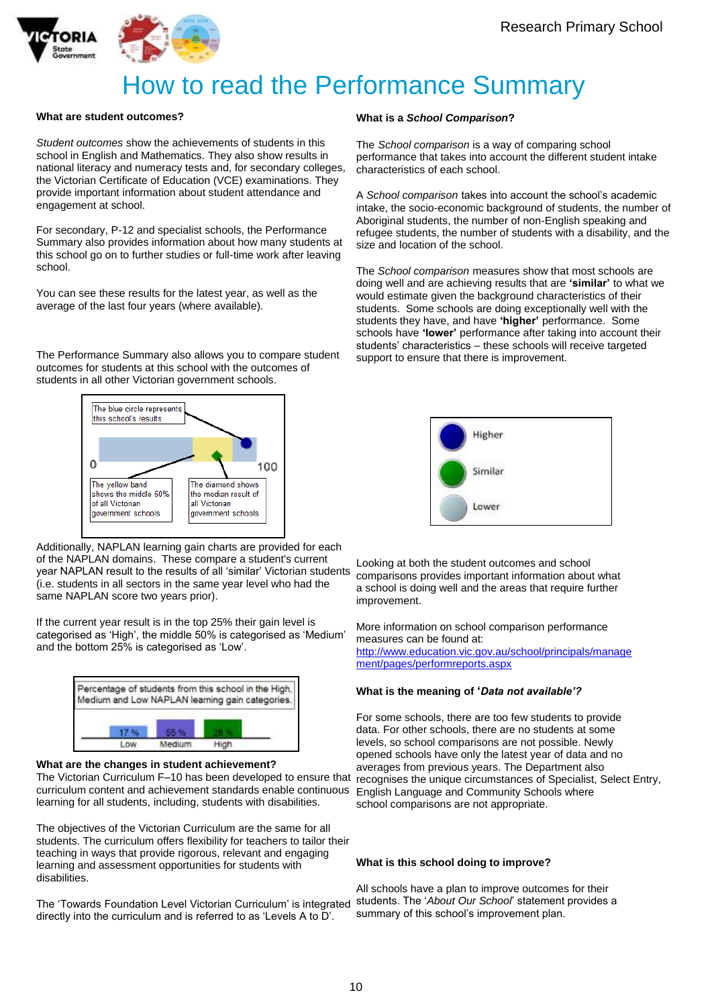



# How to read the Performance Summary

#### **What are student outcomes?**

*Student outcomes* show the achievements of students in this school in English and Mathematics. They also show results in national literacy and numeracy tests and, for secondary colleges, the Victorian Certificate of Education (VCE) examinations. They provide important information about student attendance and engagement at school.

For secondary, P-12 and specialist schools, the Performance Summary also provides information about how many students at this school go on to further studies or full-time work after leaving school.

You can see these results for the latest year, as well as the average of the last four years (where available).

The Performance Summary also allows you to compare student outcomes for students at this school with the outcomes of students in all other Victorian government schools.



Additionally, NAPLAN learning gain charts are provided for each of the NAPLAN domains. These compare a student's current year NAPLAN result to the results of all 'similar' Victorian students (i.e. students in all sectors in the same year level who had the same NAPLAN score two years prior).

If the current year result is in the top 25% their gain level is categorised as 'High', the middle 50% is categorised as 'Medium' and the bottom 25% is categorised as 'Low'.



#### **What are the changes in student achievement?**

curriculum content and achievement standards enable continuous English Language and Community Schools where The Victorian Curriculum F–10 has been developed to ensure that learning for all students, including, students with disabilities.

The objectives of the Victorian Curriculum are the same for all students. The curriculum offers flexibility for teachers to tailor their teaching in ways that provide rigorous, relevant and engaging learning and assessment opportunities for students with disabilities.

The 'Towards Foundation Level Victorian Curriculum' is integrated directly into the curriculum and is referred to as 'Levels A to D'.

#### **What is a** *School Comparison***?**

The *School comparison* is a way of comparing school performance that takes into account the different student intake characteristics of each school.

A *School comparison* takes into account the school's academic intake, the socio-economic background of students, the number of Aboriginal students, the number of non-English speaking and refugee students, the number of students with a disability, and the size and location of the school.

The *School comparison* measures show that most schools are doing well and are achieving results that are **'similar'** to what we would estimate given the background characteristics of their students. Some schools are doing exceptionally well with the students they have, and have **'higher'** performance. Some schools have **'lower'** performance after taking into account their students' characteristics – these schools will receive targeted support to ensure that there is improvement.



Looking at both the student outcomes and school comparisons provides important information about what a school is doing well and the areas that require further improvement.

More information on school comparison performance measures can be found at: [http://www.education.vic.gov.au/school/principals/manage](http://www.education.vic.gov.au/school/principals/management/pages/performreports.aspx) [ment/pages/performreports.aspx](http://www.education.vic.gov.au/school/principals/management/pages/performreports.aspx)

#### **What is the meaning of '***Data not available'?*

For some schools, there are too few students to provide data. For other schools, there are no students at some levels, so school comparisons are not possible. Newly opened schools have only the latest year of data and no averages from previous years. The Department also recognises the unique circumstances of Specialist, Select Entry, school comparisons are not appropriate.

#### **What is this school doing to improve?**

All schools have a plan to improve outcomes for their students. The '*About Our School*' statement provides a summary of this school's improvement plan.